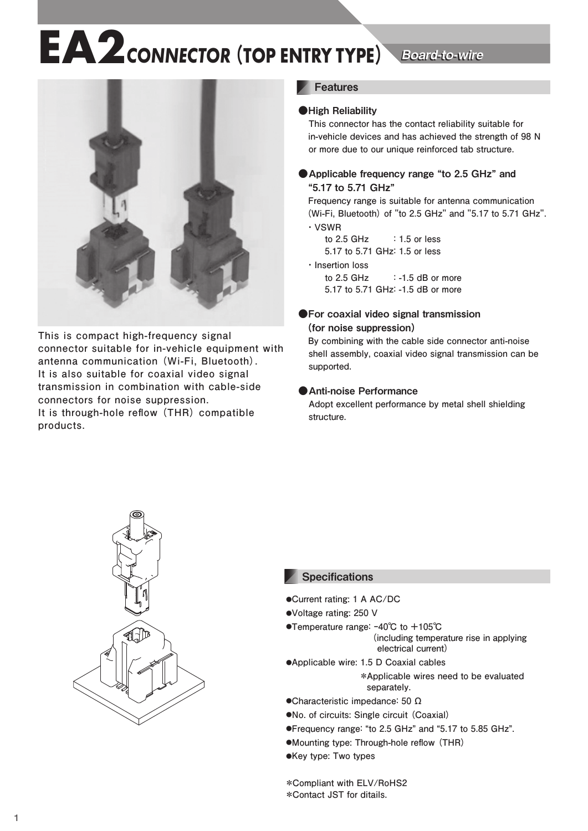## **EA2** CONNECTOR (TOP ENTRY TYPE) Board-to-wire

Board-to-wire



**This is compact high-frequency signal connector suitable for in-vehicle equipment with antenna communication (Wi-Fi, Bluetooth). It is also suitable for coaxial video signal transmission in combination with cable-side connectors for noise suppression. It is through-hole reflow (THR) compatible products.**

## **Features**

## ●High Reliability

 **This connector has the contact reliability suitable for in-vehicle devices and has achieved the strength of 98 N or more due to our unique reinforced tab structure.**

## ● Applicable frequency range "to 2.5 GHz" and "5.17 to 5.71 GHz"

 **Frequency range is suitable for antenna communication (Wi-Fi, Bluetooth) of "to 2.5 GHz" and "5.17 to 5.71 GHz". ・ VSWR**

 **to 2.5 GHz : 1.5 or less 5.17 to 5.71 GHz: 1.5 or less**

### **・ Insertion loss**

 **to 2.5 GHz : -1.5 dB or more 5.17 to 5.71 GHz: -1.5 dB or more**

## ●For coaxial video signal transmission (for noise suppression)

 **By combining with the cable side connector anti-noise shell assembly, coaxial video signal transmission can be supported.**

## ●Anti-noise Performance

 **Adopt excellent performance by metal shell shielding structure.**



## **Specifications**

- **●Current rating: 1 A AC/DC**
- **●Voltage rating: 250 V**
- **●Temperature range: ‒40℃ to +105℃**
	- **(including temperature rise in applying electrical current)**
- **●Applicable wire: 1.5 D Coaxial cables \*Applicable wires need to be evaluated separately.**
- **●Characteristic impedance: 50 Ω**
- **●No. of circuits: Single circuit (Coaxial)**
- **●Frequency range: "to 2.5 GHz" and "5.17 to 5.85 GHz".**
- **●Mounting type: Through-hole reflow (THR)**
- **●Key type: Two types**

**\*Compliant with ELV/RoHS2 \*Contact JST for ditails.**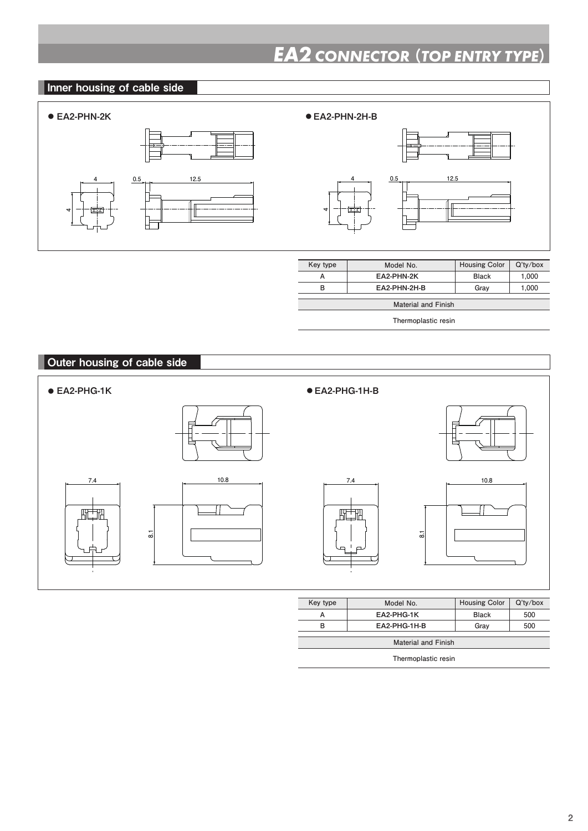## *EA2 CONNECTOR* (*TOP ENTRY TYPE*)

## Inner housing of cable side



**4**



| Key type                   | Model No.    | <b>Housing Color</b> | $Q'$ ty/box |
|----------------------------|--------------|----------------------|-------------|
| А                          | EA2-PHN-2K   | <b>Black</b>         | 1.000       |
| в                          | FA2-PHN-2H-B | Grav                 | 1.000       |
| <b>Material and Finish</b> |              |                      |             |

**Thermoplastic resin**

## Outer housing of cable side









| Key type                   | Model No.    | <b>Housing Color</b> | $Q'$ ty/box |
|----------------------------|--------------|----------------------|-------------|
|                            | EA2-PHG-1K   | <b>Black</b>         | 500         |
| R                          | EA2-PHG-1H-B | Grav                 | 500         |
|                            |              |                      |             |
| <b>Material and Finish</b> |              |                      |             |

**Thermoplastic resin**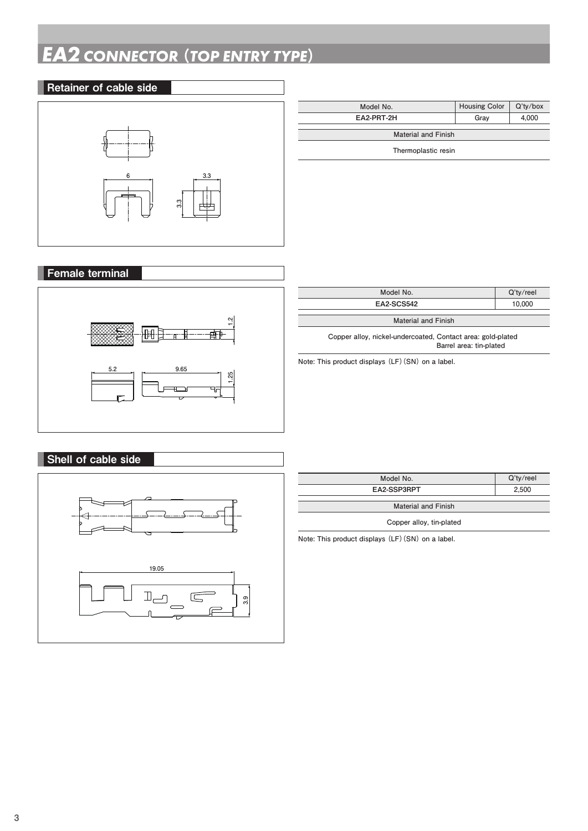## *EA2 CONNECTOR* (*TOP ENTRY TYPE*)

# Retainer of cable side **6 3.3 3.3**

| Model No.                  | <b>Housing Color</b> | $Q'$ tv/box |  |
|----------------------------|----------------------|-------------|--|
| EA2-PRT-2H                 | Grav                 | 4.000       |  |
| <b>Material and Finish</b> |                      |             |  |

**Thermoplastic resin**

# Female terminal



| Model No.                                                                              | $Q'$ ty/reel |  |  |
|----------------------------------------------------------------------------------------|--------------|--|--|
| EA2-SCS542                                                                             | 10.000       |  |  |
|                                                                                        |              |  |  |
| <b>Material and Finish</b>                                                             |              |  |  |
| Copper alloy, nickel-undercoated, Contact area: gold-plated<br>Barrel area: tin-plated |              |  |  |
| المعامل والمعارف ( CAL) ويتعاقدون المعامل وتعامل وتعالى والملحان                       |              |  |  |

**Note: This product displays (LF)(SN) on a label.**

## **19.05**  $\mathbb{I}_{\square}$  $\sqrt{2}$ **3.9**

Shell of cable side

| Model No.                  | $Q'$ ty/reel |  |
|----------------------------|--------------|--|
| EA2-SSP3RPT                | 2.500        |  |
| <b>Material and Finish</b> |              |  |
| Copper alloy, tin-plated   |              |  |

**Note: This product displays (LF)(SN) on a label.**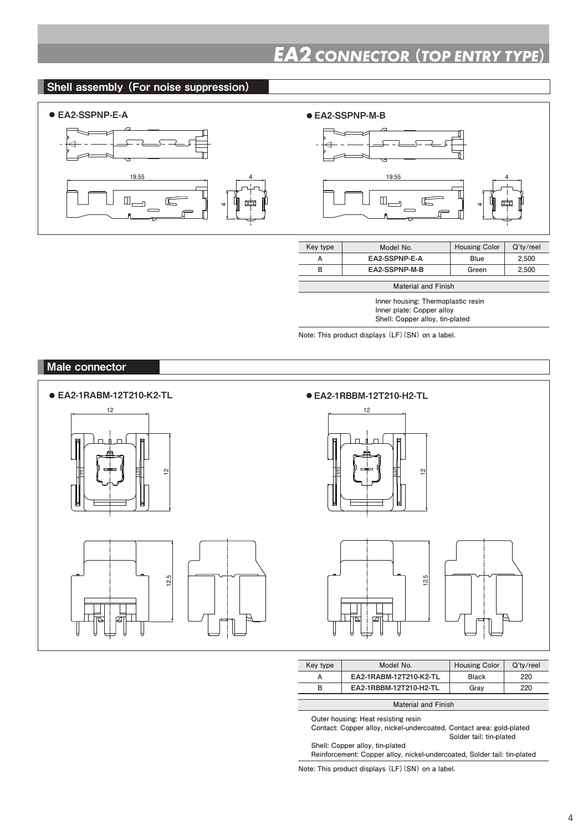## Shell assembly (For noise suppression)



## ● EA2-SSPNP-E-A ● EA2-SSPNP-M-B



| Key type                   | Model No.     | <b>Housing Color</b> | $Q'$ ty/reel |
|----------------------------|---------------|----------------------|--------------|
|                            | EA2-SSPNP-E-A | Blue                 | 2.500        |
| в                          | EA2-SSPNP-M-B | Green                | 2.500        |
|                            |               |                      |              |
| <b>Material and Finish</b> |               |                      |              |

**4**

**Inner housing: Thermoplastic resin Inner plate: Copper alloy Shell: Copper alloy, tin-plated**

**Note: This product displays (LF)(SN) on a label.**



| Key type                   | Model No.                     | <b>Housing Color</b> | $Q'$ ty/reel |
|----------------------------|-------------------------------|----------------------|--------------|
| А                          | <b>EA2-1RABM-12T210-K2-TL</b> | <b>Black</b>         | 220          |
| в                          | EA2-1RBBM-12T210-H2-TL        | Grav                 | 220          |
|                            |                               |                      |              |
| <b>Material and Finish</b> |                               |                      |              |

**Outer housing: Heat resisting resin**

**Contact: Copper alloy, nickel-undercoated, Contact area: gold-plated**

 **Solder tail: tin-plated**

**Shell: Copper alloy, tin-plated Reinforcement: Copper alloy, nickel-undercoated, Solder tail: tin-plated**

**Note: This product displays (LF)(SN) on a label.**